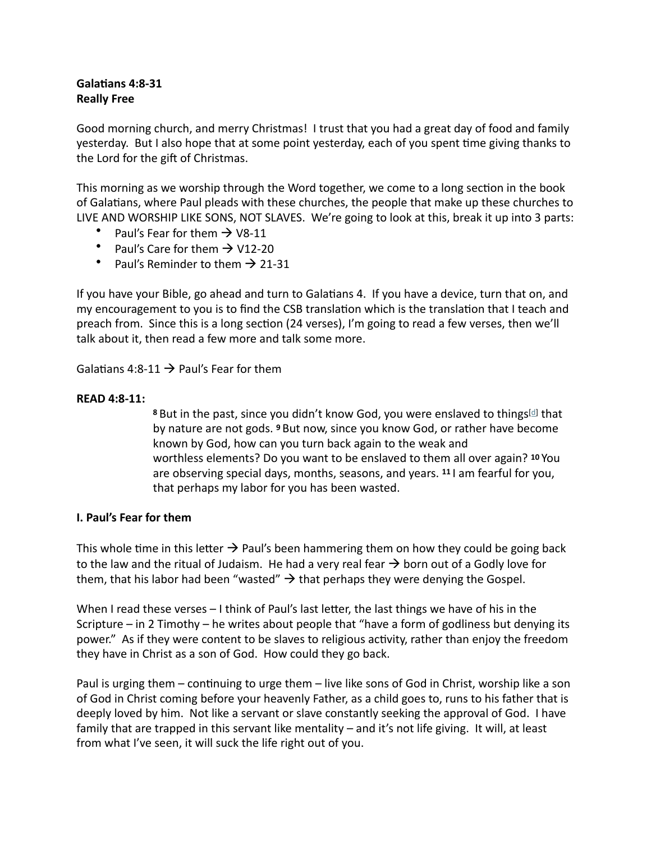## **Galatians 4:8-31 Really Free**

Good morning church, and merry Christmas! I trust that you had a great day of food and family yesterday. But I also hope that at some point yesterday, each of you spent time giving thanks to the Lord for the gift of Christmas.

This morning as we worship through the Word together, we come to a long section in the book of Galatians, where Paul pleads with these churches, the people that make up these churches to LIVE AND WORSHIP LIKE SONS, NOT SLAVES. We're going to look at this, break it up into 3 parts:

- Paul's Fear for them  $\rightarrow$  V8-11
- Paul's Care for them  $\rightarrow$  V12-20
- Paul's Reminder to them  $\rightarrow$  21-31

If you have your Bible, go ahead and turn to Galatians 4. If you have a device, turn that on, and my encouragement to you is to find the CSB translation which is the translation that I teach and preach from. Since this is a long section (24 verses), I'm going to read a few verses, then we'll talk about it, then read a few more and talk some more.

Galatians 4:8-11  $\rightarrow$  Paul's Fear for them

## **READ 4:8-11:**

8 But in the past, since you [d](https://www.biblegateway.com/passage/?search=galatians+4&version=CSB#fen-CSB-29122d)idn't know God, you were enslaved to things<sup>[d]</sup> that by nature are not gods. <sup>9</sup> But now, since you know God, or rather have become known by God, how can you turn back again to the weak and worthless elements? Do you want to be enslaved to them all over again? <sup>10</sup> You are observing special days, months, seasons, and years. <sup>11</sup> I am fearful for you, that perhaps my labor for you has been wasted.

## **I. Paul's Fear for them**

This whole time in this letter  $\rightarrow$  Paul's been hammering them on how they could be going back to the law and the ritual of Judaism. He had a very real fear  $\rightarrow$  born out of a Godly love for them, that his labor had been "wasted"  $\rightarrow$  that perhaps they were denying the Gospel.

When I read these verses  $-1$  think of Paul's last letter, the last things we have of his in the Scripture  $-$  in 2 Timothy  $-$  he writes about people that "have a form of godliness but denying its power." As if they were content to be slaves to religious activity, rather than enjoy the freedom they have in Christ as a son of God. How could they go back.

Paul is urging them – continuing to urge them – live like sons of God in Christ, worship like a son of God in Christ coming before your heavenly Father, as a child goes to, runs to his father that is deeply loved by him. Not like a servant or slave constantly seeking the approval of God. I have family that are trapped in this servant like mentality – and it's not life giving. It will, at least from what I've seen, it will suck the life right out of you.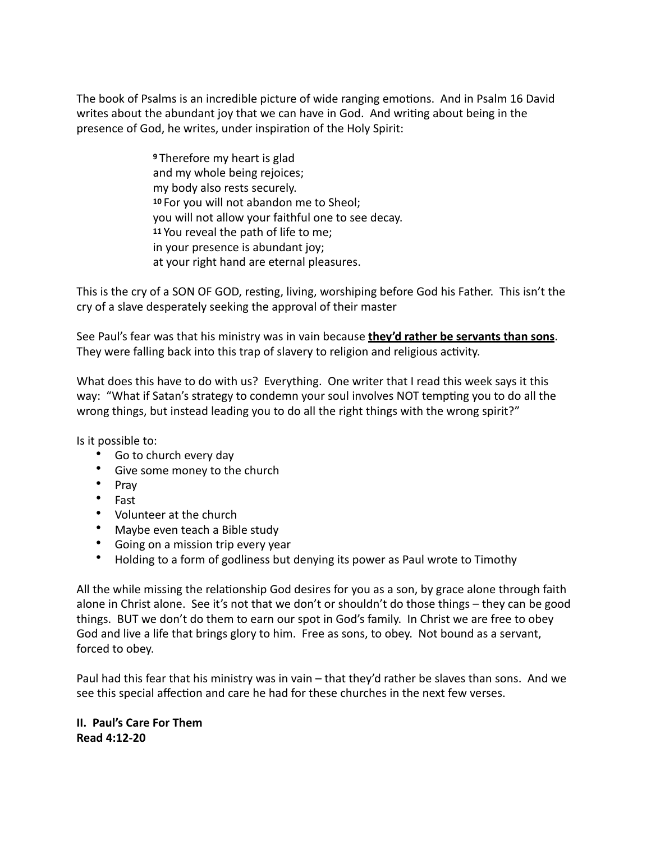The book of Psalms is an incredible picture of wide ranging emotions. And in Psalm 16 David writes about the abundant joy that we can have in God. And writing about being in the presence of God, he writes, under inspiration of the Holy Spirit:

> **9**Therefore my heart is glad and my whole being rejoices; my body also rests securely. 10 For you will not abandon me to Sheol; you will not allow your faithful one to see decay. 11 You reveal the path of life to me; in your presence is abundant joy; at your right hand are eternal pleasures.

This is the cry of a SON OF GOD, resting, living, worshiping before God his Father. This isn't the cry of a slave desperately seeking the approval of their master

See Paul's fear was that his ministry was in vain because **they'd rather be servants than sons**. They were falling back into this trap of slavery to religion and religious activity.

What does this have to do with us? Everything. One writer that I read this week says it this way: "What if Satan's strategy to condemn your soul involves NOT tempting you to do all the wrong things, but instead leading you to do all the right things with the wrong spirit?"

Is it possible to:

- Go to church every day
- Give some money to the church
- Pray
- Fast
- Volunteer at the church
- Maybe even teach a Bible study
- Going on a mission trip every year
- Holding to a form of godliness but denying its power as Paul wrote to Timothy

All the while missing the relationship God desires for you as a son, by grace alone through faith alone in Christ alone. See it's not that we don't or shouldn't do those things – they can be good things. BUT we don't do them to earn our spot in God's family. In Christ we are free to obey God and live a life that brings glory to him. Free as sons, to obey. Not bound as a servant, forced to obey.

Paul had this fear that his ministry was in vain – that they'd rather be slaves than sons. And we see this special affection and care he had for these churches in the next few verses.

**II. Paul's Care For Them Read 4:12-20**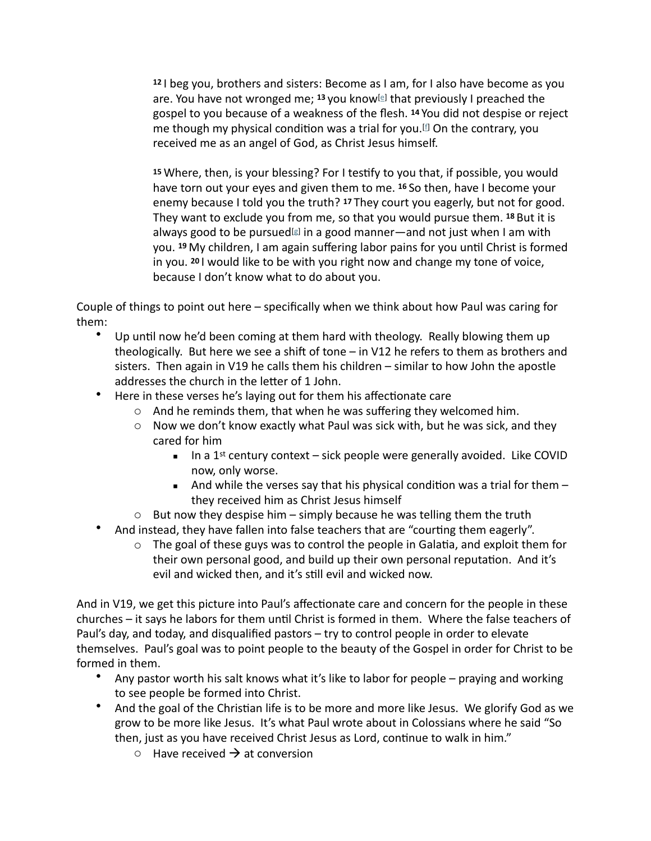12 l beg you, brothers and sisters: Become as I am, for I also have become as you are. You have not wronged me; <sup>13</sup> you know<sup>[[e\]](https://www.biblegateway.com/passage/?search=galatians+4&version=CSB#fen-CSB-29127e)</sup> that previously I preached the gospel to you because of a weakness of the flesh. <sup>14</sup> You did not despise or reject me though my physical condition was a trial [f](https://www.biblegateway.com/passage/?search=galatians+4&version=CSB#fen-CSB-29128f)or you.<sup>[f]</sup> On the contrary, you received me as an angel of God, as Christ Jesus himself.

15 Where, then, is your blessing? For I testify to you that, if possible, you would have torn out your eyes and given them to me. <sup>16</sup> So then, have I become your enemy because I told you the truth? <sup>17</sup> They court you eagerly, but not for good. They want to exclude you from me, so that you would pursue them. <sup>18</sup> But it is always [g](https://www.biblegateway.com/passage/?search=galatians+4&version=CSB#fen-CSB-29132g)ood to be pursued<sup>[g]</sup> in a good manner—and not just when I am with you. 19 My children, I am again suffering labor pains for you until Christ is formed in you. <sup>20</sup> I would like to be with you right now and change my tone of voice, because I don't know what to do about you.

Couple of things to point out here – specifically when we think about how Paul was caring for them:

- Up until now he'd been coming at them hard with theology. Really blowing them up theologically. But here we see a shift of tone  $-$  in V12 he refers to them as brothers and sisters. Then again in V19 he calls them his children  $-$  similar to how John the apostle addresses the church in the letter of 1 John.
- Here in these verses he's laying out for them his affectionate care
	- $\circ$  And he reminds them, that when he was suffering they welcomed him.
	- $\circ$  Now we don't know exactly what Paul was sick with, but he was sick, and they cared for him
		- $\blacksquare$  In a 1<sup>st</sup> century context sick people were generally avoided. Like COVID now, only worse.
		- **EXECT** And while the verses say that his physical condition was a trial for them  $$ they received him as Christ Jesus himself
	- $\circ$  But now they despise him simply because he was telling them the truth
- And instead, they have fallen into false teachers that are "courting them eagerly".
	- $\circ$  The goal of these guys was to control the people in Galatia, and exploit them for their own personal good, and build up their own personal reputation. And it's evil and wicked then, and it's still evil and wicked now.

And in V19, we get this picture into Paul's affectionate care and concern for the people in these churches – it says he labors for them until Christ is formed in them. Where the false teachers of Paul's day, and today, and disqualified pastors – try to control people in order to elevate themselves. Paul's goal was to point people to the beauty of the Gospel in order for Christ to be formed in them.

- Any pastor worth his salt knows what it's like to labor for people praying and working to see people be formed into Christ.
- And the goal of the Christian life is to be more and more like Jesus. We glorify God as we grow to be more like Jesus. It's what Paul wrote about in Colossians where he said "So then, just as you have received Christ Jesus as Lord, continue to walk in him."
	- $\circ$  Have received  $\rightarrow$  at conversion